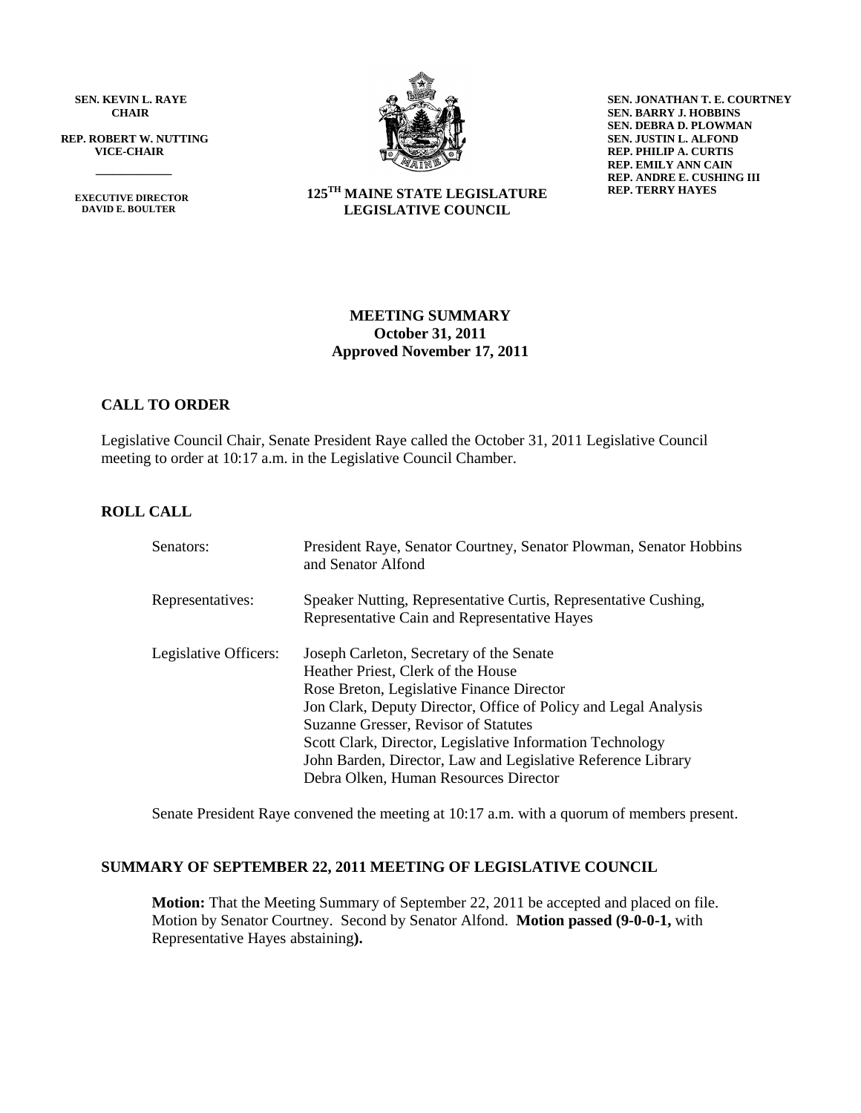**SEN. KEVIN L. RAYE CHAIR**

 **REP. ROBERT W. NUTTING VICE-CHAIR**

 **EXECUTIVE DIRECTOR DAVID E. BOULTER**

 $\frac{1}{\sqrt{2}}$ 



**SEN. JONATHAN T. E. COURTNEY SEN. BARRY J. HOBBINS SEN. DEBRA D. PLOWMAN SEN. JUSTIN L. ALFOND REP. PHILIP A. CURTIS REP. EMILY ANN CAIN REP. ANDRE E. CUSHING III REP. TERRY HAYES**

#### **125 TH MAINE STATE LEGISLATURE LEGISLATIVE COUNCIL**

#### **MEETING SUMMARY October 31, 2011 Approved November 17, 2011**

# **CALL TO ORDER**

Legislative Council Chair, Senate President Raye called the October 31, 2011 Legislative Council meeting to order at 10:17 a.m. in the Legislative Council Chamber.

# **ROLL CALL**

| Senators:             | President Raye, Senator Courtney, Senator Plowman, Senator Hobbins<br>and Senator Alfond                                                                                                                                                                                                                                                                                                                     |
|-----------------------|--------------------------------------------------------------------------------------------------------------------------------------------------------------------------------------------------------------------------------------------------------------------------------------------------------------------------------------------------------------------------------------------------------------|
| Representatives:      | Speaker Nutting, Representative Curtis, Representative Cushing,<br>Representative Cain and Representative Hayes                                                                                                                                                                                                                                                                                              |
| Legislative Officers: | Joseph Carleton, Secretary of the Senate<br>Heather Priest, Clerk of the House<br>Rose Breton, Legislative Finance Director<br>Jon Clark, Deputy Director, Office of Policy and Legal Analysis<br>Suzanne Gresser, Revisor of Statutes<br>Scott Clark, Director, Legislative Information Technology<br>John Barden, Director, Law and Legislative Reference Library<br>Debra Olken, Human Resources Director |

Senate President Raye convened the meeting at 10:17 a.m. with a quorum of members present.

#### **SUMMARY OF SEPTEMBER 22, 2011 MEETING OF LEGISLATIVE COUNCIL**

**Motion:** That the Meeting Summary of September 22, 2011 be accepted and placed on file. Motion by Senator Courtney. Second by Senator Alfond. **Motion passed (9-0-0-1,** with Representative Hayes abstaining**).**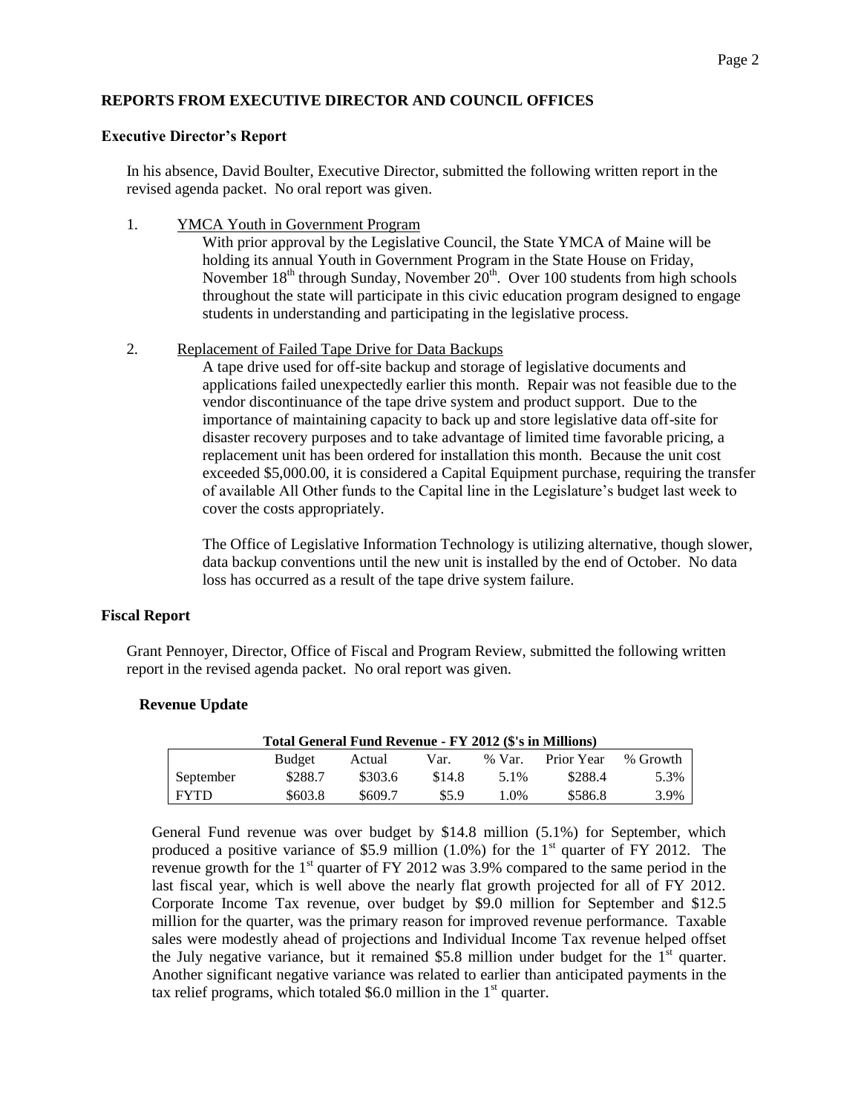# **REPORTS FROM EXECUTIVE DIRECTOR AND COUNCIL OFFICES**

#### **Executive Director's Report**

In his absence, David Boulter, Executive Director, submitted the following written report in the revised agenda packet. No oral report was given.

1. **YMCA Youth in Government Program** 

With prior approval by the Legislative Council, the State YMCA of Maine will be holding its annual Youth in Government Program in the State House on Friday, November  $18<sup>th</sup>$  through Sunday, November  $20<sup>th</sup>$ . Over 100 students from high schools throughout the state will participate in this civic education program designed to engage students in understanding and participating in the legislative process.

#### 2. Replacement of Failed Tape Drive for Data Backups

A tape drive used for off-site backup and storage of legislative documents and applications failed unexpectedly earlier this month. Repair was not feasible due to the vendor discontinuance of the tape drive system and product support. Due to the importance of maintaining capacity to back up and store legislative data off-site for disaster recovery purposes and to take advantage of limited time favorable pricing, a replacement unit has been ordered for installation this month. Because the unit cost exceeded \$5,000.00, it is considered a Capital Equipment purchase, requiring the transfer of available All Other funds to the Capital line in the Legislature's budget last week to cover the costs appropriately.

The Office of Legislative Information Technology is utilizing alternative, though slower, data backup conventions until the new unit is installed by the end of October. No data loss has occurred as a result of the tape drive system failure.

# **Fiscal Report**

Grant Pennoyer, Director, Office of Fiscal and Program Review, submitted the following written report in the revised agenda packet. No oral report was given.

#### **Revenue Update**

| Total General Fund Revenue - FY 2012 (\$'s in Millions) |               |         |        |          |            |          |
|---------------------------------------------------------|---------------|---------|--------|----------|------------|----------|
|                                                         | <b>Budget</b> | Actual  | Var.   | $%$ Var. | Prior Year | % Growth |
| September                                               | \$288.7       | \$303.6 | \$14.8 | 5.1%     | \$288.4    | 5.3%     |
| <b>FYTD</b>                                             | \$603.8       | \$609.7 | \$5.9  | 1.0%     | \$586.8    | 3.9%     |

General Fund revenue was over budget by \$14.8 million (5.1%) for September, which produced a positive variance of \$5.9 million  $(1.0\%)$  for the 1<sup>st</sup> quarter of FY 2012. The revenue growth for the  $1<sup>st</sup>$  quarter of FY 2012 was 3.9% compared to the same period in the last fiscal year, which is well above the nearly flat growth projected for all of FY 2012. Corporate Income Tax revenue, over budget by \$9.0 million for September and \$12.5 million for the quarter, was the primary reason for improved revenue performance. Taxable sales were modestly ahead of projections and Individual Income Tax revenue helped offset the July negative variance, but it remained \$5.8 million under budget for the  $1<sup>st</sup>$  quarter. Another significant negative variance was related to earlier than anticipated payments in the tax relief programs, which totaled \$6.0 million in the  $1<sup>st</sup>$  quarter.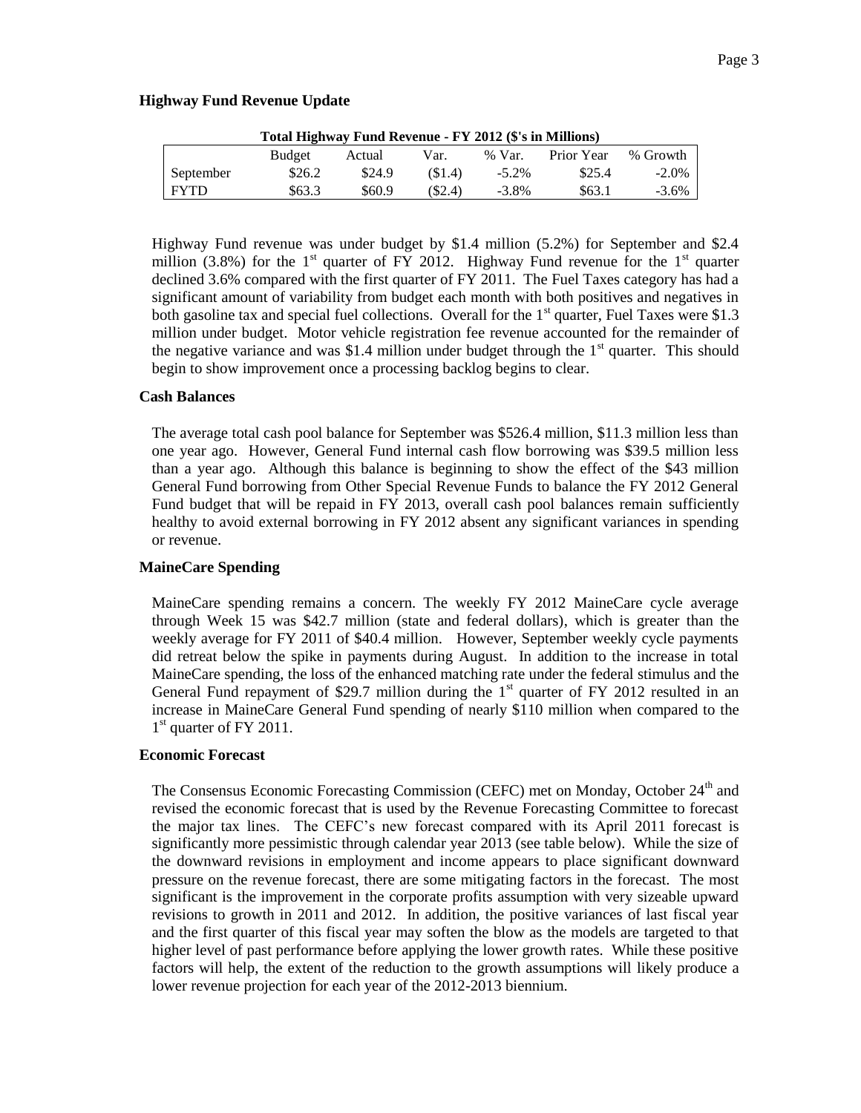#### **Highway Fund Revenue Update**

| Total Highway Fund Revenue - FY 2012 (\$'s in Millions) |        |        |        |          |            |          |
|---------------------------------------------------------|--------|--------|--------|----------|------------|----------|
|                                                         | Budget | Actual | Var.   | $%$ Var. | Prior Year | % Growth |
| September                                               | \$26.2 | \$24.9 | (S1.4) | $-5.2\%$ | \$25.4     | $-2.0\%$ |
| <b>FYTD</b>                                             | \$63.3 | \$60.9 | (S2.4) | $-3.8\%$ | \$63.1     | $-3.6\%$ |

Highway Fund revenue was under budget by \$1.4 million (5.2%) for September and \$2.4 million (3.8%) for the 1<sup>st</sup> quarter of FY 2012. Highway Fund revenue for the 1<sup>st</sup> quarter declined 3.6% compared with the first quarter of FY 2011. The Fuel Taxes category has had a significant amount of variability from budget each month with both positives and negatives in both gasoline tax and special fuel collections. Overall for the  $1<sup>st</sup>$  quarter, Fuel Taxes were \$1.3 million under budget. Motor vehicle registration fee revenue accounted for the remainder of the negative variance and was \$1.4 million under budget through the  $1<sup>st</sup>$  quarter. This should begin to show improvement once a processing backlog begins to clear.

#### **Cash Balances**

The average total cash pool balance for September was \$526.4 million, \$11.3 million less than one year ago. However, General Fund internal cash flow borrowing was \$39.5 million less than a year ago. Although this balance is beginning to show the effect of the \$43 million General Fund borrowing from Other Special Revenue Funds to balance the FY 2012 General Fund budget that will be repaid in FY 2013, overall cash pool balances remain sufficiently healthy to avoid external borrowing in FY 2012 absent any significant variances in spending or revenue.

#### **MaineCare Spending**

MaineCare spending remains a concern. The weekly FY 2012 MaineCare cycle average through Week 15 was \$42.7 million (state and federal dollars), which is greater than the weekly average for FY 2011 of \$40.4 million. However, September weekly cycle payments did retreat below the spike in payments during August. In addition to the increase in total MaineCare spending, the loss of the enhanced matching rate under the federal stimulus and the General Fund repayment of \$29.7 million during the  $1<sup>st</sup>$  quarter of FY 2012 resulted in an increase in MaineCare General Fund spending of nearly \$110 million when compared to the 1<sup>st</sup> quarter of FY 2011.

#### **Economic Forecast**

The Consensus Economic Forecasting Commission (CEFC) met on Monday, October 24<sup>th</sup> and revised the economic forecast that is used by the Revenue Forecasting Committee to forecast the major tax lines. The CEFC's new forecast compared with its April 2011 forecast is significantly more pessimistic through calendar year 2013 (see table below). While the size of the downward revisions in employment and income appears to place significant downward pressure on the revenue forecast, there are some mitigating factors in the forecast. The most significant is the improvement in the corporate profits assumption with very sizeable upward revisions to growth in 2011 and 2012. In addition, the positive variances of last fiscal year and the first quarter of this fiscal year may soften the blow as the models are targeted to that higher level of past performance before applying the lower growth rates. While these positive factors will help, the extent of the reduction to the growth assumptions will likely produce a lower revenue projection for each year of the 2012-2013 biennium.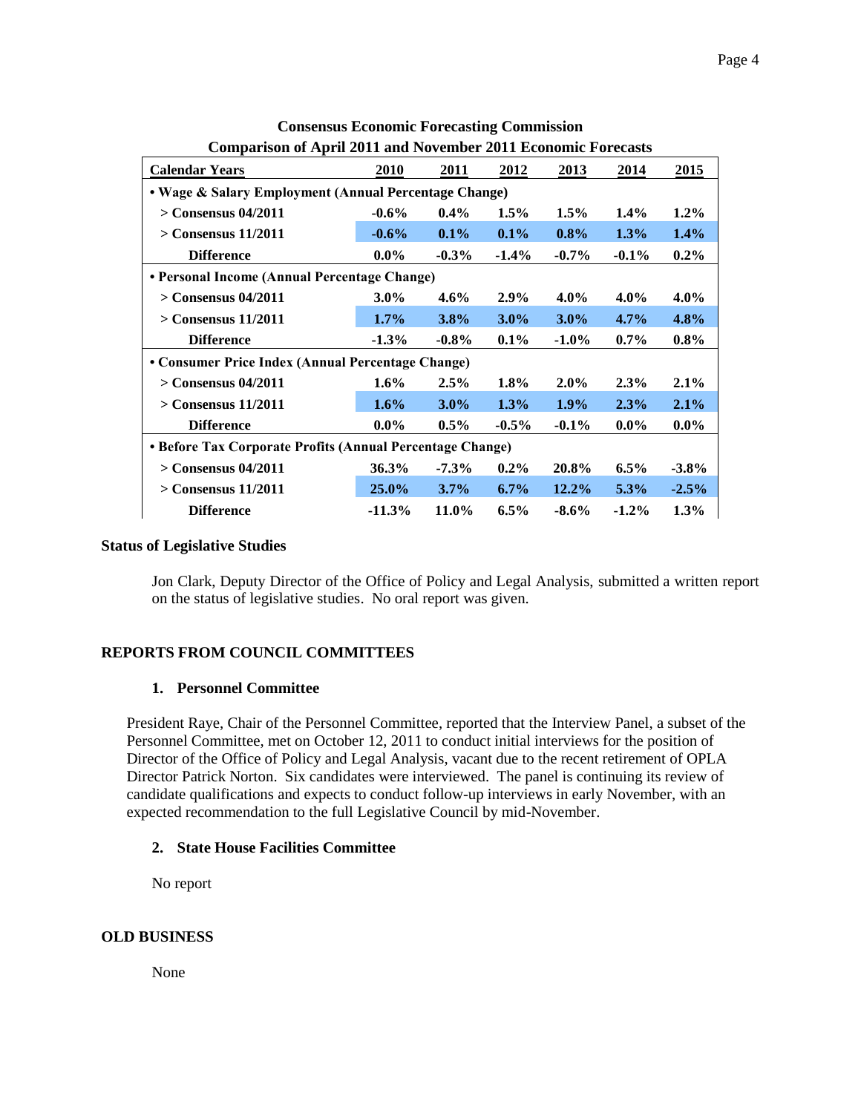|                                                           | Comparison of April 2011 and Forthfield 2011 Economic I orteasus |          |          |          |          |          |
|-----------------------------------------------------------|------------------------------------------------------------------|----------|----------|----------|----------|----------|
| <b>Calendar Years</b>                                     | 2010                                                             | 2011     | 2012     | 2013     | 2014     | 2015     |
| • Wage & Salary Employment (Annual Percentage Change)     |                                                                  |          |          |          |          |          |
| $>$ Consensus 04/2011                                     | $-0.6\%$                                                         | $0.4\%$  | $1.5\%$  | $1.5\%$  | $1.4\%$  | $1.2\%$  |
| $>$ Consensus 11/2011                                     | $-0.6%$                                                          | $0.1\%$  | $0.1\%$  | $0.8\%$  | 1.3%     | 1.4%     |
| <b>Difference</b>                                         | $0.0\%$                                                          | $-0.3\%$ | $-1.4\%$ | $-0.7\%$ | $-0.1\%$ | $0.2\%$  |
| • Personal Income (Annual Percentage Change)              |                                                                  |          |          |          |          |          |
| $>$ Consensus 04/2011                                     | $3.0\%$                                                          | $4.6\%$  | $2.9\%$  | $4.0\%$  | $4.0\%$  | $4.0\%$  |
| $>$ Consensus 11/2011                                     | $1.7\%$                                                          | 3.8%     | $3.0\%$  | $3.0\%$  | $4.7\%$  | 4.8%     |
| <b>Difference</b>                                         | $-1.3\%$                                                         | $-0.8\%$ | $0.1\%$  | $-1.0\%$ | $0.7\%$  | $0.8\%$  |
| • Consumer Price Index (Annual Percentage Change)         |                                                                  |          |          |          |          |          |
| $>$ Consensus 04/2011                                     | $1.6\%$                                                          | $2.5\%$  | $1.8\%$  | $2.0\%$  | $2.3\%$  | $2.1\%$  |
| $>$ Consensus 11/2011                                     | $1.6\%$                                                          | $3.0\%$  | 1.3%     | $1.9\%$  | 2.3%     | 2.1%     |
| <b>Difference</b>                                         | $0.0\%$                                                          | $0.5\%$  | $-0.5\%$ | $-0.1\%$ | $0.0\%$  | $0.0\%$  |
| • Before Tax Corporate Profits (Annual Percentage Change) |                                                                  |          |          |          |          |          |
| $>$ Consensus 04/2011                                     | 36.3%                                                            | $-7.3%$  | $0.2\%$  | 20.8%    | $6.5\%$  | $-3.8\%$ |
| $>$ Consensus 11/2011                                     | $25.0\%$                                                         | $3.7\%$  | $6.7\%$  | 12.2%    | 5.3%     | $-2.5%$  |
| <b>Difference</b>                                         | $-11.3%$                                                         | 11.0%    | $6.5\%$  | $-8.6\%$ | $-1.2\%$ | $1.3\%$  |

**Consensus Economic Forecasting Commission Comparison of April 2011 and November 2011 Economic Forecasts**

### **Status of Legislative Studies**

Jon Clark, Deputy Director of the Office of Policy and Legal Analysis, submitted a written report on the status of legislative studies. No oral report was given.

# **REPORTS FROM COUNCIL COMMITTEES**

#### **1. Personnel Committee**

President Raye, Chair of the Personnel Committee, reported that the Interview Panel, a subset of the Personnel Committee, met on October 12, 2011 to conduct initial interviews for the position of Director of the Office of Policy and Legal Analysis, vacant due to the recent retirement of OPLA Director Patrick Norton. Six candidates were interviewed. The panel is continuing its review of candidate qualifications and expects to conduct follow-up interviews in early November, with an expected recommendation to the full Legislative Council by mid-November.

#### **2. State House Facilities Committee**

No report

#### **OLD BUSINESS**

None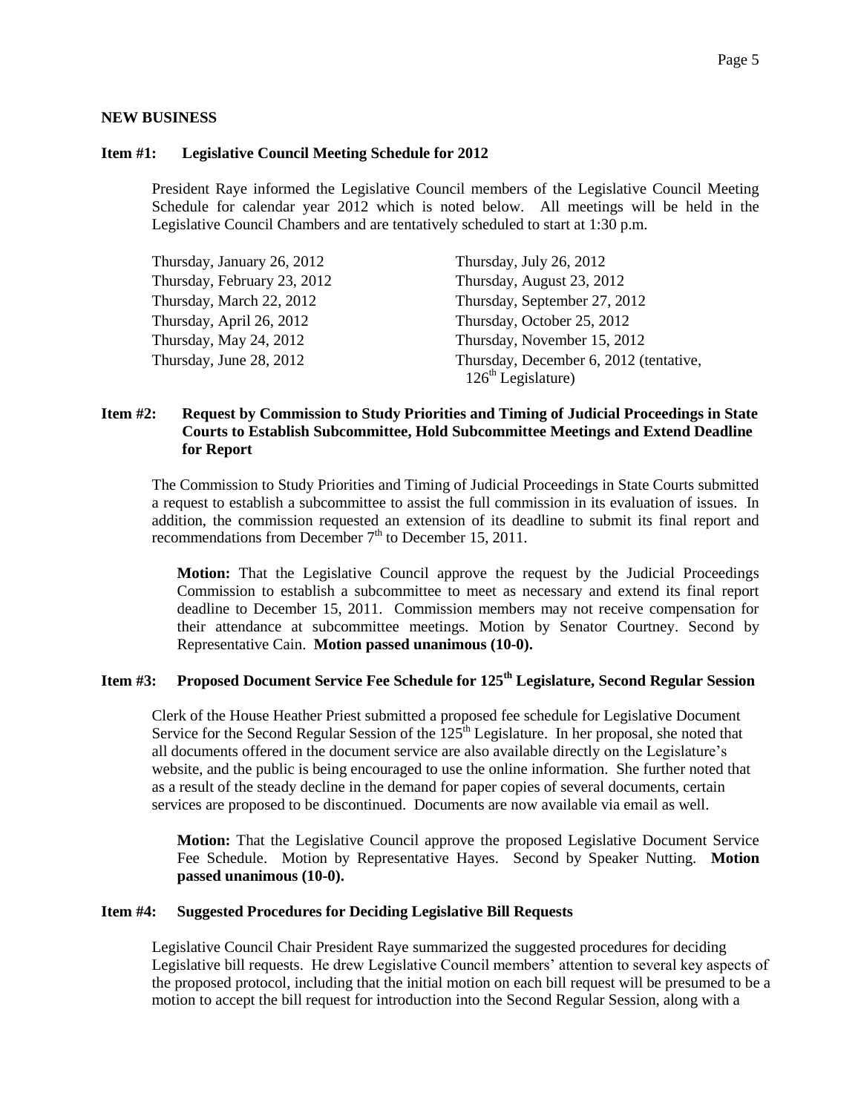#### **NEW BUSINESS**

#### **Item #1: Legislative Council Meeting Schedule for 2012**

President Raye informed the Legislative Council members of the Legislative Council Meeting Schedule for calendar year 2012 which is noted below. All meetings will be held in the Legislative Council Chambers and are tentatively scheduled to start at 1:30 p.m.

| Thursday, January 26, 2012  | Thursday, July 26, 2012                                        |
|-----------------------------|----------------------------------------------------------------|
| Thursday, February 23, 2012 | Thursday, August 23, 2012                                      |
| Thursday, March 22, 2012    | Thursday, September 27, 2012                                   |
| Thursday, April 26, 2012    | Thursday, October 25, 2012                                     |
| Thursday, May 24, 2012      | Thursday, November 15, 2012                                    |
| Thursday, June 28, 2012     | Thursday, December 6, 2012 (tentative,<br>$126th$ Legislature) |

#### **Item #2: Request by Commission to Study Priorities and Timing of Judicial Proceedings in State Courts to Establish Subcommittee, Hold Subcommittee Meetings and Extend Deadline for Report**

The Commission to Study Priorities and Timing of Judicial Proceedings in State Courts submitted a request to establish a subcommittee to assist the full commission in its evaluation of issues. In addition, the commission requested an extension of its deadline to submit its final report and recommendations from December  $7<sup>th</sup>$  to December 15, 2011.

**Motion:** That the Legislative Council approve the request by the Judicial Proceedings Commission to establish a subcommittee to meet as necessary and extend its final report deadline to December 15, 2011. Commission members may not receive compensation for their attendance at subcommittee meetings. Motion by Senator Courtney. Second by Representative Cain. **Motion passed unanimous (10-0).**

# **Item #3: Proposed Document Service Fee Schedule for 125th Legislature, Second Regular Session**

Clerk of the House Heather Priest submitted a proposed fee schedule for Legislative Document Service for the Second Regular Session of the  $125<sup>th</sup>$  Legislature. In her proposal, she noted that all documents offered in the document service are also available directly on the Legislature's website, and the public is being encouraged to use the online information. She further noted that as a result of the steady decline in the demand for paper copies of several documents, certain services are proposed to be discontinued. Documents are now available via email as well.

**Motion:** That the Legislative Council approve the proposed Legislative Document Service Fee Schedule. Motion by Representative Hayes. Second by Speaker Nutting. **Motion passed unanimous (10-0).**

#### **Item #4: Suggested Procedures for Deciding Legislative Bill Requests**

Legislative Council Chair President Raye summarized the suggested procedures for deciding Legislative bill requests. He drew Legislative Council members' attention to several key aspects of the proposed protocol, including that the initial motion on each bill request will be presumed to be a motion to accept the bill request for introduction into the Second Regular Session, along with a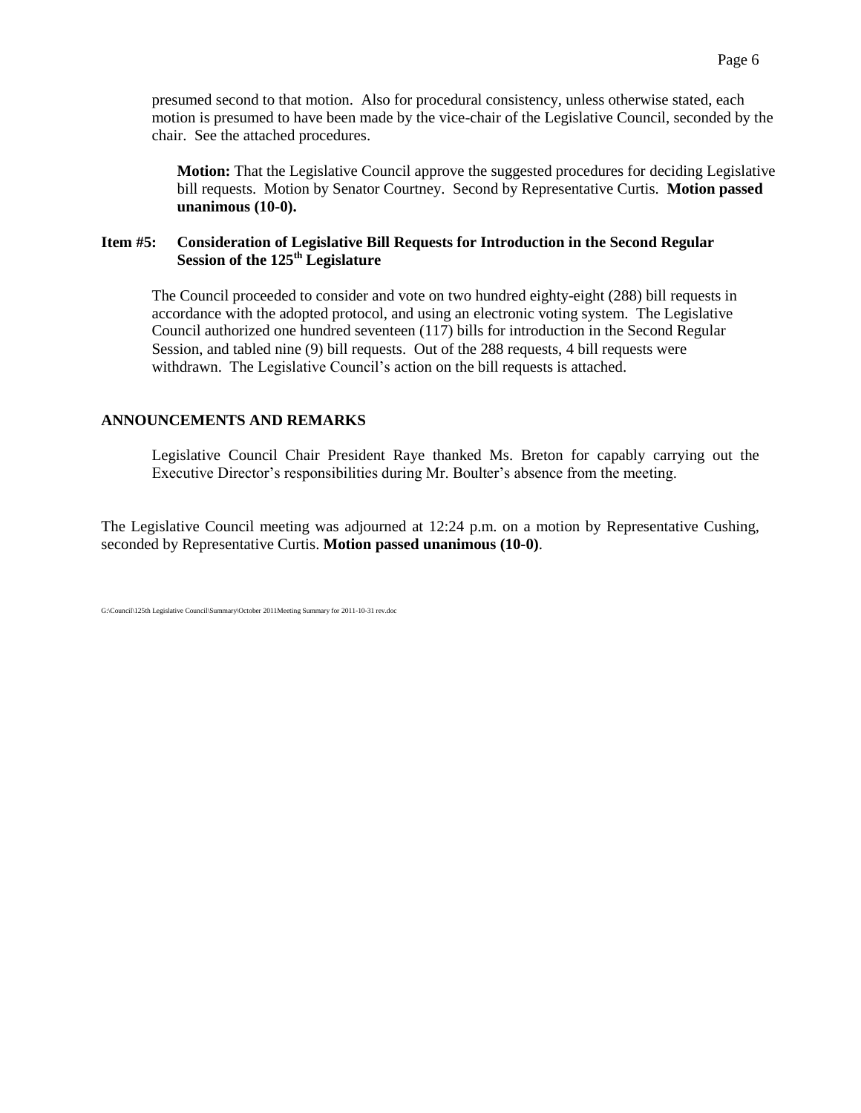**Motion:** That the Legislative Council approve the suggested procedures for deciding Legislative bill requests. Motion by Senator Courtney. Second by Representative Curtis. **Motion passed unanimous (10-0).**

### **Item #5: Consideration of Legislative Bill Requests for Introduction in the Second Regular Session of the 125th Legislature**

The Council proceeded to consider and vote on two hundred eighty-eight (288) bill requests in accordance with the adopted protocol, and using an electronic voting system. The Legislative Council authorized one hundred seventeen (117) bills for introduction in the Second Regular Session, and tabled nine (9) bill requests. Out of the 288 requests, 4 bill requests were withdrawn. The Legislative Council's action on the bill requests is attached.

### **ANNOUNCEMENTS AND REMARKS**

Legislative Council Chair President Raye thanked Ms. Breton for capably carrying out the Executive Director's responsibilities during Mr. Boulter's absence from the meeting.

The Legislative Council meeting was adjourned at 12:24 p.m. on a motion by Representative Cushing, seconded by Representative Curtis. **Motion passed unanimous (10-0)**.

G:\Council\125th Legislative Council\Summary\October 2011Meeting Summary for 2011-10-31 rev.doc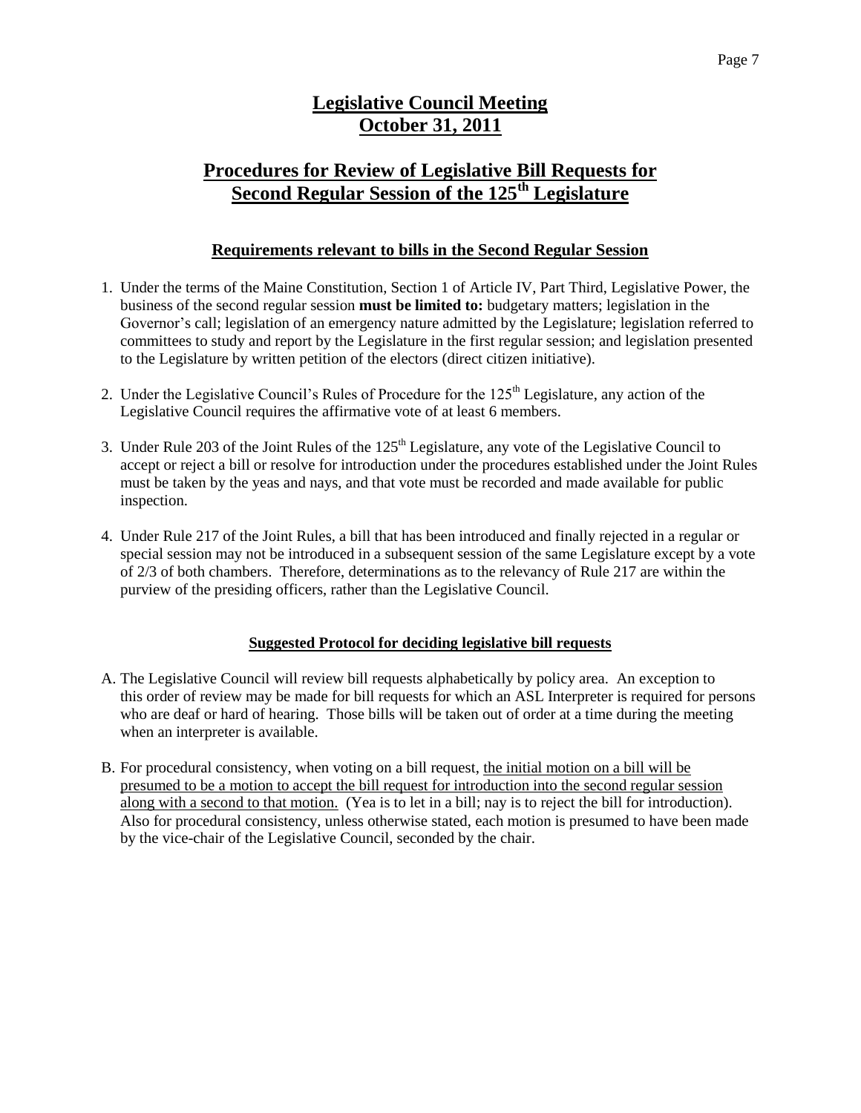# **Legislative Council Meeting October 31, 2011**

# **Procedures for Review of Legislative Bill Requests for Second Regular Session of the 125th Legislature**

# **Requirements relevant to bills in the Second Regular Session**

- 1. Under the terms of the Maine Constitution, Section 1 of Article IV, Part Third, Legislative Power, the business of the second regular session **must be limited to:** budgetary matters; legislation in the Governor's call; legislation of an emergency nature admitted by the Legislature; legislation referred to committees to study and report by the Legislature in the first regular session; and legislation presented to the Legislature by written petition of the electors (direct citizen initiative).
- 2. Under the Legislative Council's Rules of Procedure for the 125<sup>th</sup> Legislature, any action of the Legislative Council requires the affirmative vote of at least 6 members.
- 3. Under Rule 203 of the Joint Rules of the  $125<sup>th</sup>$  Legislature, any vote of the Legislative Council to accept or reject a bill or resolve for introduction under the procedures established under the Joint Rules must be taken by the yeas and nays, and that vote must be recorded and made available for public inspection.
- 4. Under Rule 217 of the Joint Rules, a bill that has been introduced and finally rejected in a regular or special session may not be introduced in a subsequent session of the same Legislature except by a vote of 2/3 of both chambers. Therefore, determinations as to the relevancy of Rule 217 are within the purview of the presiding officers, rather than the Legislative Council.

#### **Suggested Protocol for deciding legislative bill requests**

- A. The Legislative Council will review bill requests alphabetically by policy area. An exception to this order of review may be made for bill requests for which an ASL Interpreter is required for persons who are deaf or hard of hearing. Those bills will be taken out of order at a time during the meeting when an interpreter is available.
- B. For procedural consistency, when voting on a bill request, the initial motion on a bill will be presumed to be a motion to accept the bill request for introduction into the second regular session along with a second to that motion. (Yea is to let in a bill; nay is to reject the bill for introduction). Also for procedural consistency, unless otherwise stated, each motion is presumed to have been made by the vice-chair of the Legislative Council, seconded by the chair.